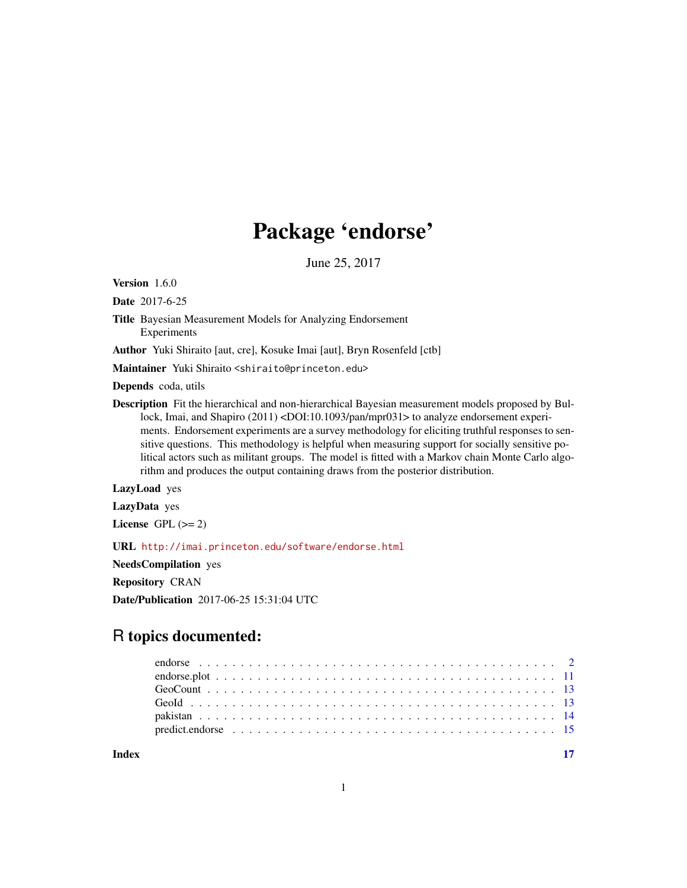# Package 'endorse'

June 25, 2017

Version 1.6.0

Date 2017-6-25

Title Bayesian Measurement Models for Analyzing Endorsement Experiments

Author Yuki Shiraito [aut, cre], Kosuke Imai [aut], Bryn Rosenfeld [ctb]

Maintainer Yuki Shiraito <shiraito@princeton.edu>

Depends coda, utils

Description Fit the hierarchical and non-hierarchical Bayesian measurement models proposed by Bullock, Imai, and Shapiro (2011) <DOI:10.1093/pan/mpr031> to analyze endorsement experiments. Endorsement experiments are a survey methodology for eliciting truthful responses to sensitive questions. This methodology is helpful when measuring support for socially sensitive political actors such as militant groups. The model is fitted with a Markov chain Monte Carlo algorithm and produces the output containing draws from the posterior distribution.

# LazyLoad yes

LazyData yes

License GPL  $(>= 2)$ 

URL <http://imai.princeton.edu/software/endorse.html>

NeedsCompilation yes

Repository CRAN

Date/Publication 2017-06-25 15:31:04 UTC

# R topics documented:

**Index** [17](#page-16-0)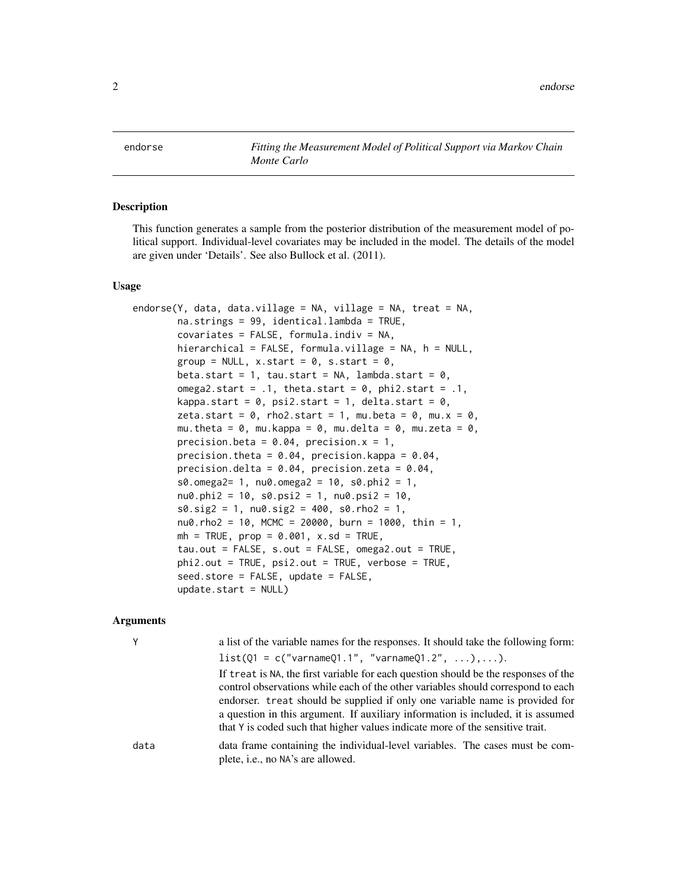<span id="page-1-1"></span><span id="page-1-0"></span>endorse *Fitting the Measurement Model of Political Support via Markov Chain Monte Carlo*

# Description

This function generates a sample from the posterior distribution of the measurement model of political support. Individual-level covariates may be included in the model. The details of the model are given under 'Details'. See also Bullock et al. (2011).

#### Usage

```
endorse(Y, data, data.village = NA, village = NA, treat = NA,
        na.strings = 99, identical.lambda = TRUE,
        covariates = FALSE, formula.indiv = NA,
        hierarchical = FALSE, formula.village = NA, h = NULL,
        group = NULL, x.start = 0, s.start = 0,
        beta.start = 1, tau.start = NA, lambda.start = 0,
        omega2.start = .1, theta.start = 0, phi2.start = .1,
        kappa.start = 0, psi2.start = 1, delta.start = 0,
        zeta.start = 0, rho2.start = 1, mu.beta = 0, mu.x = 0,
        mu.theta = \theta, mu.kappa = \theta, mu.delta = \theta, mu.zeta = \theta,
        precision.beta = 0.04, precision.x = 1,
        precision.theta = 0.04, precision.kappa = 0.04,
        precision.delta = 0.04, precision.zeta = 0.04,
        s0.omega2= 1, nu0.omega2 = 10, s0.phi12 = 1,
        nu0.phi2 = 10, s0.psi2 = 1, nu0.psi2 = 10,
        s0.size2 = 1, nu0.size2 = 400, s0.rho2 = 1,
        nu0.rho2 = 10, MCMC = 20000, burn = 1000, thin = 1,
        mh = TRUE, prop = 0.001, x.sd = TRUE,
        tau.out = FALSE, s.out = FALSE, omega2.out = TRUE,
        phi2.out = TRUE, psi2.out = TRUE, verbose = TRUE,seed.store = FALSE, update = FALSE,
        update.start = NULL)
```
#### Arguments

|      | a list of the variable names for the responses. It should take the following form:                                                                                                                                                                                                                                                                                                                                           |
|------|------------------------------------------------------------------------------------------------------------------------------------------------------------------------------------------------------------------------------------------------------------------------------------------------------------------------------------------------------------------------------------------------------------------------------|
|      | $list(Q1 = c("varnameQ1.1", "varnameQ1.2", ), ).$                                                                                                                                                                                                                                                                                                                                                                            |
|      | If treat is NA, the first variable for each question should be the responses of the<br>control observations while each of the other variables should correspond to each<br>endorser. treat should be supplied if only one variable name is provided for<br>a question in this argument. If auxiliary information is included, it is assumed<br>that Y is coded such that higher values indicate more of the sensitive trait. |
| data | data frame containing the individual-level variables. The cases must be com-<br>plete, <i>i.e.</i> , no NA's are allowed.                                                                                                                                                                                                                                                                                                    |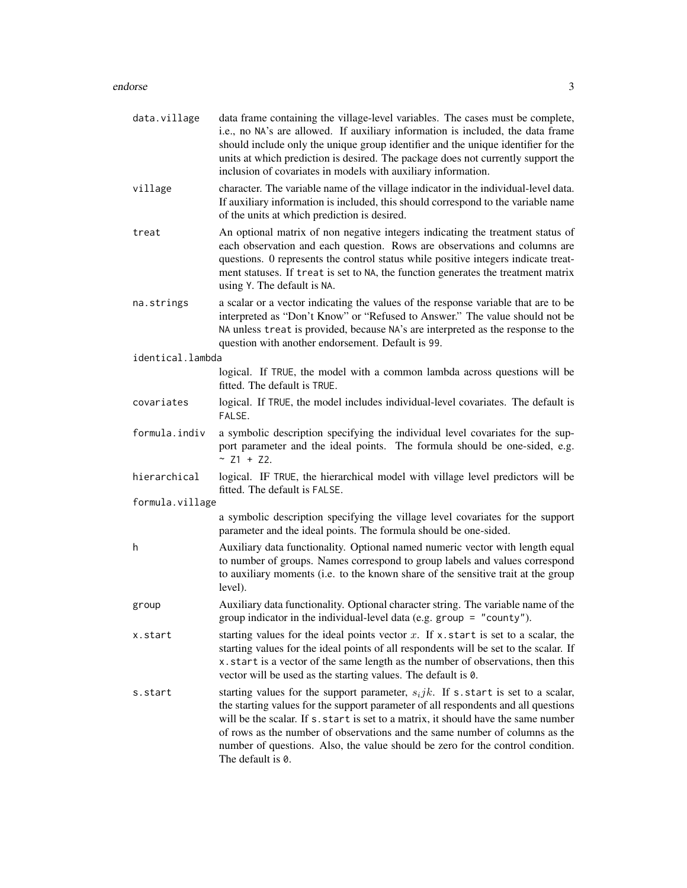# endorse 3

| data.village     | data frame containing the village-level variables. The cases must be complete,<br>i.e., no NA's are allowed. If auxiliary information is included, the data frame<br>should include only the unique group identifier and the unique identifier for the<br>units at which prediction is desired. The package does not currently support the<br>inclusion of covariates in models with auxiliary information.                                            |
|------------------|--------------------------------------------------------------------------------------------------------------------------------------------------------------------------------------------------------------------------------------------------------------------------------------------------------------------------------------------------------------------------------------------------------------------------------------------------------|
| village          | character. The variable name of the village indicator in the individual-level data.<br>If auxiliary information is included, this should correspond to the variable name<br>of the units at which prediction is desired.                                                                                                                                                                                                                               |
| treat            | An optional matrix of non negative integers indicating the treatment status of<br>each observation and each question. Rows are observations and columns are<br>questions. 0 represents the control status while positive integers indicate treat-<br>ment statuses. If treat is set to NA, the function generates the treatment matrix<br>using Y. The default is NA.                                                                                  |
| na.strings       | a scalar or a vector indicating the values of the response variable that are to be<br>interpreted as "Don't Know" or "Refused to Answer." The value should not be<br>NA unless treat is provided, because NA's are interpreted as the response to the<br>question with another endorsement. Default is 99.                                                                                                                                             |
| identical.lambda |                                                                                                                                                                                                                                                                                                                                                                                                                                                        |
|                  | logical. If TRUE, the model with a common lambda across questions will be<br>fitted. The default is TRUE.                                                                                                                                                                                                                                                                                                                                              |
| covariates       | logical. If TRUE, the model includes individual-level covariates. The default is<br>FALSE.                                                                                                                                                                                                                                                                                                                                                             |
| formula.indiv    | a symbolic description specifying the individual level covariates for the sup-<br>port parameter and the ideal points. The formula should be one-sided, e.g.<br>~ $Z1 + Z2$ .                                                                                                                                                                                                                                                                          |
| hierarchical     | logical. IF TRUE, the hierarchical model with village level predictors will be<br>fitted. The default is FALSE.                                                                                                                                                                                                                                                                                                                                        |
| formula.village  |                                                                                                                                                                                                                                                                                                                                                                                                                                                        |
|                  | a symbolic description specifying the village level covariates for the support<br>parameter and the ideal points. The formula should be one-sided.                                                                                                                                                                                                                                                                                                     |
| h                | Auxiliary data functionality. Optional named numeric vector with length equal<br>to number of groups. Names correspond to group labels and values correspond<br>to auxiliary moments (i.e. to the known share of the sensitive trait at the group<br>level).                                                                                                                                                                                           |
| group            | Auxiliary data functionality. Optional character string. The variable name of the<br>group indicator in the individual-level data (e.g. group $=$ "county").                                                                                                                                                                                                                                                                                           |
| x.start          | starting values for the ideal points vector $x$ . If x start is set to a scalar, the<br>starting values for the ideal points of all respondents will be set to the scalar. If<br>x. start is a vector of the same length as the number of observations, then this<br>vector will be used as the starting values. The default is 0.                                                                                                                     |
| s.start          | starting values for the support parameter, $s_i jk$ . If s.start is set to a scalar,<br>the starting values for the support parameter of all respondents and all questions<br>will be the scalar. If s. start is set to a matrix, it should have the same number<br>of rows as the number of observations and the same number of columns as the<br>number of questions. Also, the value should be zero for the control condition.<br>The default is 0. |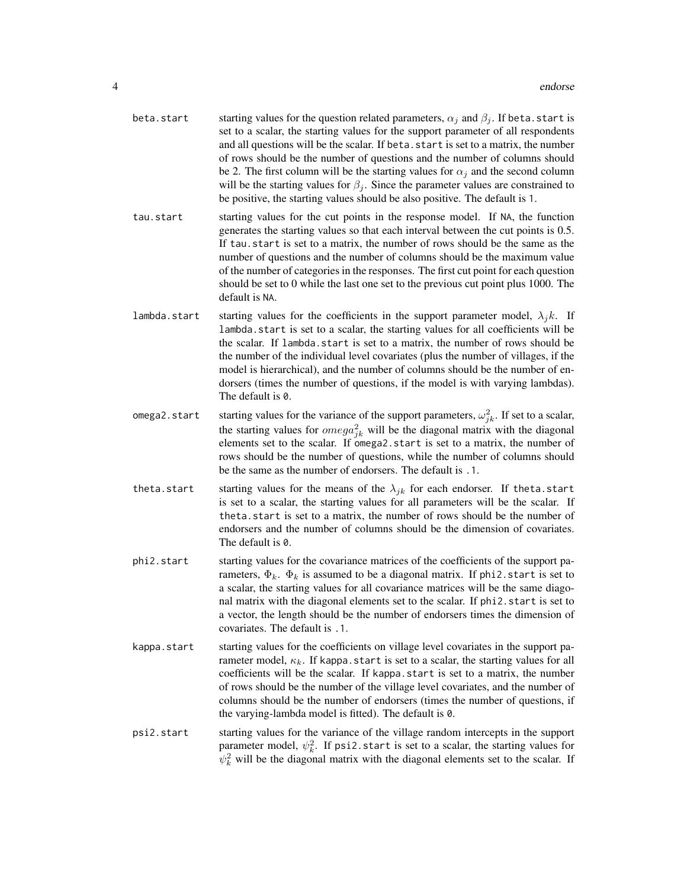- beta.start starting values for the question related parameters,  $\alpha_i$  and  $\beta_i$ . If beta.start is set to a scalar, the starting values for the support parameter of all respondents and all questions will be the scalar. If beta, start is set to a matrix, the number of rows should be the number of questions and the number of columns should be 2. The first column will be the starting values for  $\alpha_j$  and the second column will be the starting values for  $\beta_j$ . Since the parameter values are constrained to be positive, the starting values should be also positive. The default is 1.
- tau.start starting values for the cut points in the response model. If NA, the function generates the starting values so that each interval between the cut points is 0.5. If tau.start is set to a matrix, the number of rows should be the same as the number of questions and the number of columns should be the maximum value of the number of categories in the responses. The first cut point for each question should be set to 0 while the last one set to the previous cut point plus 1000. The default is NA.
- lambda.start starting values for the coefficients in the support parameter model,  $\lambda_j k$ . If lambda.start is set to a scalar, the starting values for all coefficients will be the scalar. If lambda.start is set to a matrix, the number of rows should be the number of the individual level covariates (plus the number of villages, if the model is hierarchical), and the number of columns should be the number of endorsers (times the number of questions, if the model is with varying lambdas). The default is 0.
- omega2.start starting values for the variance of the support parameters,  $\omega_{jk}^2$ . If set to a scalar, the starting values for  $omega_{jk}^2$  will be the diagonal matrix with the diagonal elements set to the scalar. If omega2.start is set to a matrix, the number of rows should be the number of questions, while the number of columns should be the same as the number of endorsers. The default is .1.
- theta.start starting values for the means of the  $\lambda_{jk}$  for each endorser. If theta.start is set to a scalar, the starting values for all parameters will be the scalar. If theta.start is set to a matrix, the number of rows should be the number of endorsers and the number of columns should be the dimension of covariates. The default is 0.
- phi2.start starting values for the covariance matrices of the coefficients of the support parameters,  $\Phi_k$ .  $\Phi_k$  is assumed to be a diagonal matrix. If phi2.start is set to a scalar, the starting values for all covariance matrices will be the same diagonal matrix with the diagonal elements set to the scalar. If phi2. start is set to a vector, the length should be the number of endorsers times the dimension of covariates. The default is .1.
- kappa.start starting values for the coefficients on village level covariates in the support parameter model,  $\kappa_k$ . If kappa.start is set to a scalar, the starting values for all coefficients will be the scalar. If kappa.start is set to a matrix, the number of rows should be the number of the village level covariates, and the number of columns should be the number of endorsers (times the number of questions, if the varying-lambda model is fitted). The default is 0.
- psi2.start starting values for the variance of the village random intercepts in the support parameter model,  $\psi_k^2$ . If psi2.start is set to a scalar, the starting values for  $\psi_k^2$  will be the diagonal matrix with the diagonal elements set to the scalar. If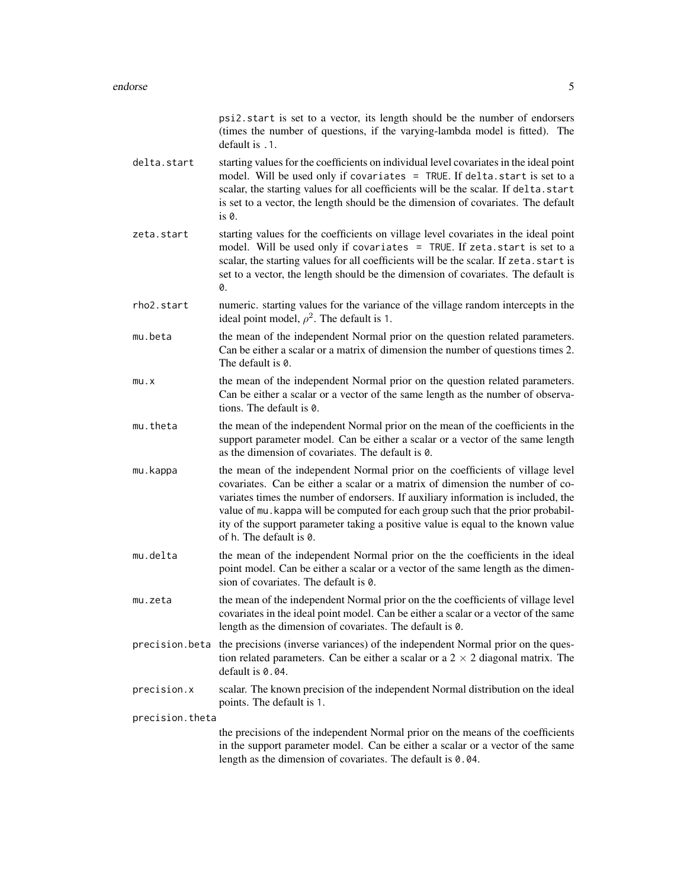|                 | psi2.start is set to a vector, its length should be the number of endorsers<br>(times the number of questions, if the varying-lambda model is fitted). The<br>default is .1.                                                                                                                                                                                                                                                                           |
|-----------------|--------------------------------------------------------------------------------------------------------------------------------------------------------------------------------------------------------------------------------------------------------------------------------------------------------------------------------------------------------------------------------------------------------------------------------------------------------|
| delta.start     | starting values for the coefficients on individual level covariates in the ideal point<br>model. Will be used only if covariates = TRUE. If delta. start is set to a<br>scalar, the starting values for all coefficients will be the scalar. If delta.start<br>is set to a vector, the length should be the dimension of covariates. The default<br>is 0.                                                                                              |
| zeta.start      | starting values for the coefficients on village level covariates in the ideal point<br>model. Will be used only if covariates = TRUE. If zeta.start is set to a<br>scalar, the starting values for all coefficients will be the scalar. If zeta. start is<br>set to a vector, the length should be the dimension of covariates. The default is<br>0.                                                                                                   |
| rho2.start      | numeric. starting values for the variance of the village random intercepts in the<br>ideal point model, $\rho^2$ . The default is 1.                                                                                                                                                                                                                                                                                                                   |
| mu.beta         | the mean of the independent Normal prior on the question related parameters.<br>Can be either a scalar or a matrix of dimension the number of questions times 2.<br>The default is 0.                                                                                                                                                                                                                                                                  |
| mu.x            | the mean of the independent Normal prior on the question related parameters.<br>Can be either a scalar or a vector of the same length as the number of observa-<br>tions. The default is 0.                                                                                                                                                                                                                                                            |
| mu.theta        | the mean of the independent Normal prior on the mean of the coefficients in the<br>support parameter model. Can be either a scalar or a vector of the same length<br>as the dimension of covariates. The default is 0.                                                                                                                                                                                                                                 |
| mu.kappa        | the mean of the independent Normal prior on the coefficients of village level<br>covariates. Can be either a scalar or a matrix of dimension the number of co-<br>variates times the number of endorsers. If auxiliary information is included, the<br>value of mu. kappa will be computed for each group such that the prior probabil-<br>ity of the support parameter taking a positive value is equal to the known value<br>of h. The default is 0. |
| mu.delta        | the mean of the independent Normal prior on the the coefficients in the ideal<br>point model. Can be either a scalar or a vector of the same length as the dimen-<br>sion of covariates. The default is 0.                                                                                                                                                                                                                                             |
| mu.zeta         | the mean of the independent Normal prior on the the coefficients of village level<br>covariates in the ideal point model. Can be either a scalar or a vector of the same<br>length as the dimension of covariates. The default is 0.                                                                                                                                                                                                                   |
|                 | precision beta the precisions (inverse variances) of the independent Normal prior on the ques-<br>tion related parameters. Can be either a scalar or a $2 \times 2$ diagonal matrix. The<br>default is 0.04.                                                                                                                                                                                                                                           |
| precision.x     | scalar. The known precision of the independent Normal distribution on the ideal<br>points. The default is 1.                                                                                                                                                                                                                                                                                                                                           |
| precision.theta |                                                                                                                                                                                                                                                                                                                                                                                                                                                        |
|                 | the precisions of the independent Normal prior on the means of the coefficients<br>in the support parameter model. Can be either a scalar or a vector of the same<br>length as the dimension of covariates. The default is 0.04.                                                                                                                                                                                                                       |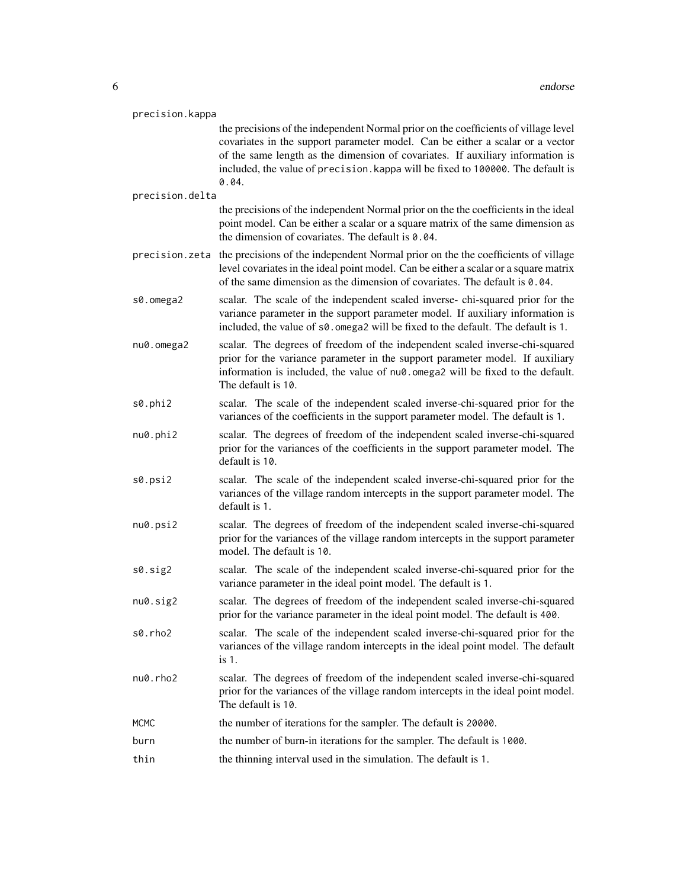| precision.kappa |                                                                                                                                                                                                                                                                                                                                                    |
|-----------------|----------------------------------------------------------------------------------------------------------------------------------------------------------------------------------------------------------------------------------------------------------------------------------------------------------------------------------------------------|
|                 | the precisions of the independent Normal prior on the coefficients of village level<br>covariates in the support parameter model. Can be either a scalar or a vector<br>of the same length as the dimension of covariates. If auxiliary information is<br>included, the value of precision. kappa will be fixed to 100000. The default is<br>0.04. |
| precision.delta |                                                                                                                                                                                                                                                                                                                                                    |
|                 | the precisions of the independent Normal prior on the the coefficients in the ideal<br>point model. Can be either a scalar or a square matrix of the same dimension as<br>the dimension of covariates. The default is 0.04.                                                                                                                        |
|                 | precision. zeta the precisions of the independent Normal prior on the the coefficients of village<br>level covariates in the ideal point model. Can be either a scalar or a square matrix<br>of the same dimension as the dimension of covariates. The default is 0.04.                                                                            |
| s0.omega2       | scalar. The scale of the independent scaled inverse-chi-squared prior for the<br>variance parameter in the support parameter model. If auxiliary information is<br>included, the value of s0. omega2 will be fixed to the default. The default is 1.                                                                                               |
| nu0.omega2      | scalar. The degrees of freedom of the independent scaled inverse-chi-squared<br>prior for the variance parameter in the support parameter model. If auxiliary<br>information is included, the value of nu0.omega2 will be fixed to the default.<br>The default is 10.                                                                              |
| s0.phi2         | scalar. The scale of the independent scaled inverse-chi-squared prior for the<br>variances of the coefficients in the support parameter model. The default is 1.                                                                                                                                                                                   |
| nu0.phi2        | scalar. The degrees of freedom of the independent scaled inverse-chi-squared<br>prior for the variances of the coefficients in the support parameter model. The<br>default is 10.                                                                                                                                                                  |
| s0.psi2         | scalar. The scale of the independent scaled inverse-chi-squared prior for the<br>variances of the village random intercepts in the support parameter model. The<br>default is 1.                                                                                                                                                                   |
| nu0.psi2        | scalar. The degrees of freedom of the independent scaled inverse-chi-squared<br>prior for the variances of the village random intercepts in the support parameter<br>model. The default is 10.                                                                                                                                                     |
| s0.sig2         | scalar. The scale of the independent scaled inverse-chi-squared prior for the<br>variance parameter in the ideal point model. The default is 1.                                                                                                                                                                                                    |
| nu0.sig2        | scalar. The degrees of freedom of the independent scaled inverse-chi-squared<br>prior for the variance parameter in the ideal point model. The default is 400.                                                                                                                                                                                     |
| s0.rho2         | scalar. The scale of the independent scaled inverse-chi-squared prior for the<br>variances of the village random intercepts in the ideal point model. The default<br>is 1.                                                                                                                                                                         |
| $nu0.$ rho $2$  | scalar. The degrees of freedom of the independent scaled inverse-chi-squared<br>prior for the variances of the village random intercepts in the ideal point model.<br>The default is 10.                                                                                                                                                           |
| <b>MCMC</b>     | the number of iterations for the sampler. The default is 20000.                                                                                                                                                                                                                                                                                    |
| burn            | the number of burn-in iterations for the sampler. The default is 1000.                                                                                                                                                                                                                                                                             |
| thin            | the thinning interval used in the simulation. The default is 1.                                                                                                                                                                                                                                                                                    |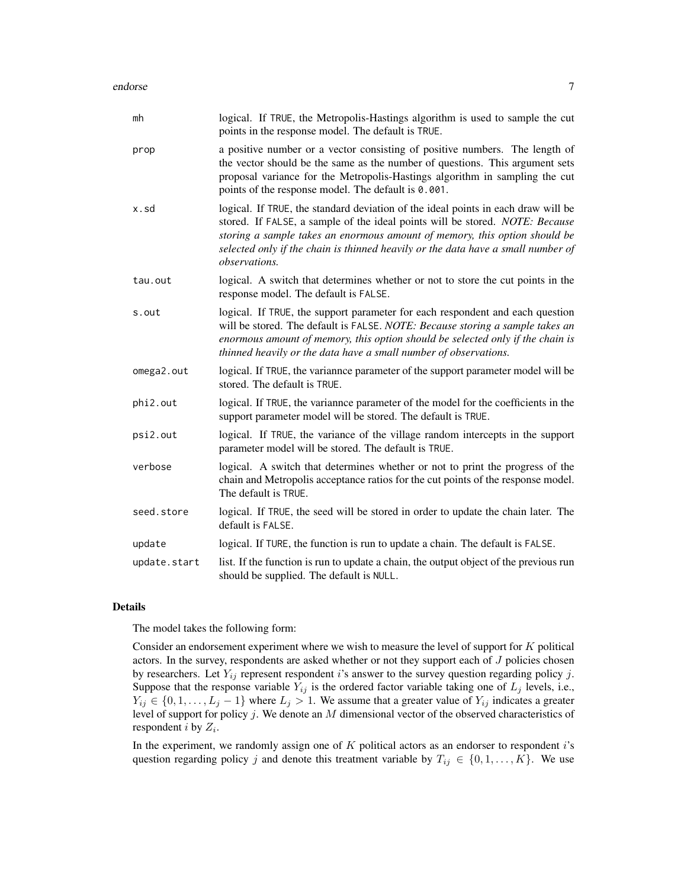| mh           | logical. If TRUE, the Metropolis-Hastings algorithm is used to sample the cut<br>points in the response model. The default is TRUE.                                                                                                                                                                                                                         |
|--------------|-------------------------------------------------------------------------------------------------------------------------------------------------------------------------------------------------------------------------------------------------------------------------------------------------------------------------------------------------------------|
| prop         | a positive number or a vector consisting of positive numbers. The length of<br>the vector should be the same as the number of questions. This argument sets<br>proposal variance for the Metropolis-Hastings algorithm in sampling the cut<br>points of the response model. The default is 0.001.                                                           |
| x.sd         | logical. If TRUE, the standard deviation of the ideal points in each draw will be<br>stored. If FALSE, a sample of the ideal points will be stored. NOTE: Because<br>storing a sample takes an enormous amount of memory, this option should be<br>selected only if the chain is thinned heavily or the data have a small number of<br><i>observations.</i> |
| tau.out      | logical. A switch that determines whether or not to store the cut points in the<br>response model. The default is FALSE.                                                                                                                                                                                                                                    |
| s.out        | logical. If TRUE, the support parameter for each respondent and each question<br>will be stored. The default is FALSE. NOTE: Because storing a sample takes an<br>enormous amount of memory, this option should be selected only if the chain is<br>thinned heavily or the data have a small number of observations.                                        |
| omega2.out   | logical. If TRUE, the variannce parameter of the support parameter model will be<br>stored. The default is TRUE.                                                                                                                                                                                                                                            |
| phi2.out     | logical. If TRUE, the variannee parameter of the model for the coefficients in the<br>support parameter model will be stored. The default is TRUE.                                                                                                                                                                                                          |
| psi2.out     | logical. If TRUE, the variance of the village random intercepts in the support<br>parameter model will be stored. The default is TRUE.                                                                                                                                                                                                                      |
| verbose      | logical. A switch that determines whether or not to print the progress of the<br>chain and Metropolis acceptance ratios for the cut points of the response model.<br>The default is TRUE.                                                                                                                                                                   |
| seed.store   | logical. If TRUE, the seed will be stored in order to update the chain later. The<br>default is FALSE.                                                                                                                                                                                                                                                      |
| update       | logical. If TURE, the function is run to update a chain. The default is FALSE.                                                                                                                                                                                                                                                                              |
| update.start | list. If the function is run to update a chain, the output object of the previous run<br>should be supplied. The default is NULL.                                                                                                                                                                                                                           |

# Details

The model takes the following form:

Consider an endorsement experiment where we wish to measure the level of support for K political actors. In the survey, respondents are asked whether or not they support each of  $J$  policies chosen by researchers. Let  $Y_{ij}$  represent respondent i's answer to the survey question regarding policy j. Suppose that the response variable  $Y_{ij}$  is the ordered factor variable taking one of  $L_j$  levels, i.e.,  $Y_{ij} \in \{0, 1, \ldots, L_j - 1\}$  where  $L_j > 1$ . We assume that a greater value of  $Y_{ij}$  indicates a greater level of support for policy j. We denote an M dimensional vector of the observed characteristics of respondent *i* by  $Z_i$ .

In the experiment, we randomly assign one of  $K$  political actors as an endorser to respondent  $i$ 's question regarding policy j and denote this treatment variable by  $T_{ij} \in \{0, 1, \ldots, K\}$ . We use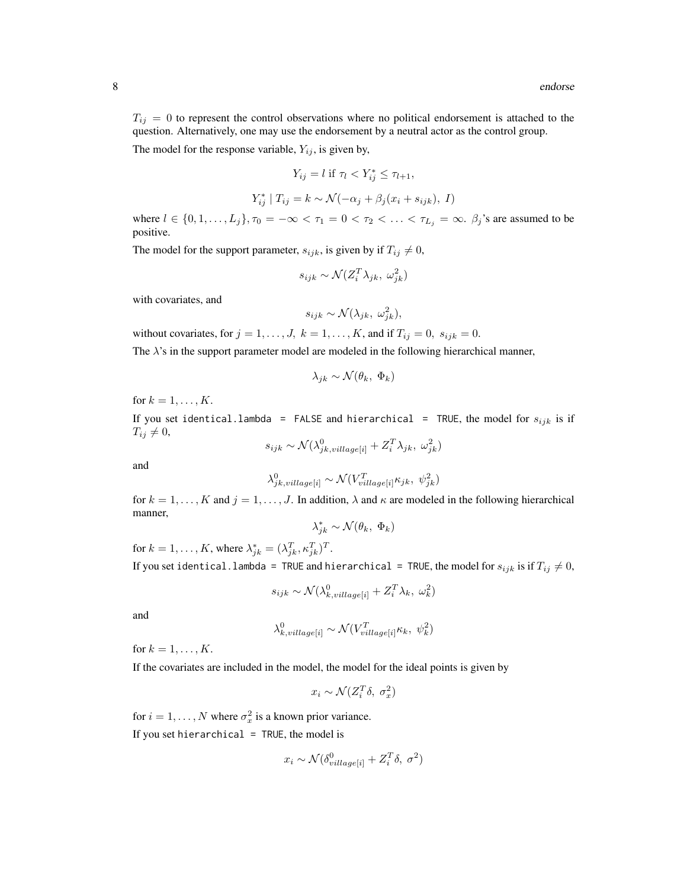$T_{ij} = 0$  to represent the control observations where no political endorsement is attached to the question. Alternatively, one may use the endorsement by a neutral actor as the control group.

The model for the response variable,  $Y_{ij}$ , is given by,

$$
Y_{ij} = l \text{ if } \tau_l < Y^*_{ij} \le \tau_{l+1},
$$

$$
Y_{ij}^* | T_{ij} = k \sim \mathcal{N}(-\alpha_j + \beta_j(x_i + s_{ijk}), I)
$$

where  $l \in \{0, 1, \ldots, L_j\}$ ,  $\tau_0 = -\infty < \tau_1 = 0 < \tau_2 < \ldots < \tau_{L_j} = \infty$ .  $\beta_j$ 's are assumed to be positive.

The model for the support parameter,  $s_{ijk}$ , is given by if  $T_{ij} \neq 0$ ,

$$
s_{ijk} \sim \mathcal{N}(Z_i^T \lambda_{jk}, \omega_{jk}^2)
$$

with covariates, and

$$
s_{ijk} \sim \mathcal{N}(\lambda_{jk}, \omega_{jk}^2),
$$

without covariates, for  $j = 1, \ldots, J$ ,  $k = 1, \ldots, K$ , and if  $T_{ij} = 0$ ,  $s_{ijk} = 0$ .

The  $\lambda$ 's in the support parameter model are modeled in the following hierarchical manner,

$$
\lambda_{jk} \sim \mathcal{N}(\theta_k, \ \Phi_k)
$$

for  $k = 1, \ldots, K$ .

If you set identical.lambda = FALSE and hierarchical = TRUE, the model for  $s_{ijk}$  is if  $T_{ij} \neq 0$ ,

$$
s_{ijk} \sim \mathcal{N}(\lambda_{jk,village[i]}^0 + Z_i^T \lambda_{jk}, \omega_{jk}^2)
$$

and

$$
\lambda_{jk, village[i]}^{0} \sim \mathcal{N}(V_{village[i]}^{T} \kappa_{jk}, \psi_{jk}^{2})
$$

for  $k = 1, ..., K$  and  $j = 1, ..., J$ . In addition,  $\lambda$  and  $\kappa$  are modeled in the following hierarchical manner,

$$
\lambda_{jk}^* \sim \mathcal{N}(\theta_k, \, \Phi_k)
$$

for  $k = 1, ..., K$ , where  $\lambda_{jk}^* = (\lambda_{jk}^T, \kappa_{jk}^T)^T$ . If you set identical.lambda = TRUE and hierarchical = TRUE, the model for  $s_{ijk}$  is if  $T_{ij} \neq 0$ ,

$$
s_{ijk} \sim \mathcal{N}(\lambda_{k, village[i]}^0 + Z_i^T \lambda_k, \omega_k^2)
$$

and

$$
\lambda_{k, village[i]}^0 \sim \mathcal{N}(V_{village[i]}^T \kappa_k, \psi_k^2)
$$

for  $k = 1, \ldots, K$ .

If the covariates are included in the model, the model for the ideal points is given by

$$
x_i \sim \mathcal{N}(Z_i^T \delta, \sigma_x^2)
$$

for  $i = 1, ..., N$  where  $\sigma_x^2$  is a known prior variance.

If you set hierarchical =  $TRUE$ , the model is

$$
x_i \sim \mathcal{N}(\delta_{village[i]}^0 + Z_i^T \delta, \sigma^2)
$$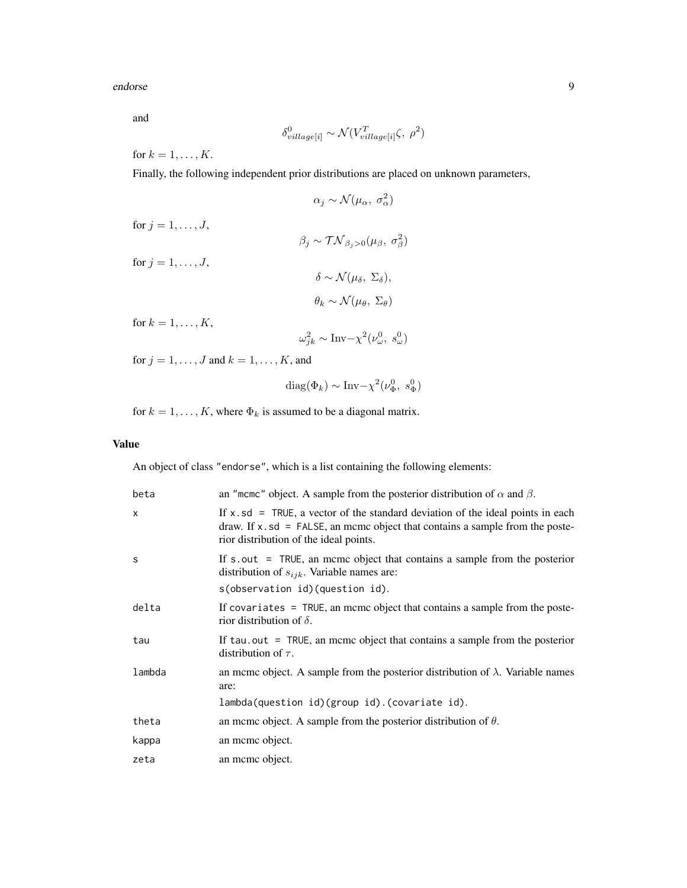endorse 90 meters en door de endorse 90 meters en door de endorse 90 meters en door de endorse 90 meters en do

and

$$
\delta_{village[i]}^0 \sim \mathcal{N}(V_{village[i]}^T\zeta,~\rho^2)
$$

for  $k = 1, \ldots, K$ .

Finally, the following independent prior distributions are placed on unknown parameters,

 $\alpha_j \sim \mathcal{N}(\mu_\alpha, \sigma_\alpha^2)$ for  $j = 1, \ldots, J$ ,  $\beta_j \sim \mathcal{TN}_{\beta_j>0}(\mu_\beta, \sigma_\beta^2)$ for  $j = 1, \ldots, J$ ,  $\delta \sim \mathcal{N}(\mu_{\delta}, \Sigma_{\delta}),$  $\theta_k \sim \mathcal{N}(\mu_\theta, \Sigma_\theta)$ for  $k = 1, \ldots, K$ ,  $\omega_{jk}^2 \sim \text{Inv} - \chi^2(\nu_\omega^0, s_\omega^0)$ 

for  $j = 1, \ldots, J$  and  $k = 1, \ldots, K$ , and

$$
diag(\Phi_k) \sim Inv-\chi^2(\nu_{\Phi}^0, s_{\Phi}^0)
$$

for  $k = 1, \dots, K$ , where  $\Phi_k$  is assumed to be a diagonal matrix.

# Value

An object of class "endorse", which is a list containing the following elements:

| beta     | an "mcmc" object. A sample from the posterior distribution of $\alpha$ and $\beta$ .                                                                                                                               |
|----------|--------------------------------------------------------------------------------------------------------------------------------------------------------------------------------------------------------------------|
| $\times$ | If $x$ , sd = TRUE, a vector of the standard deviation of the ideal points in each<br>draw. If $x$ , $sd$ = FALSE, an mcmc object that contains a sample from the poste-<br>rior distribution of the ideal points. |
| S        | If $s.out$ = TRUE, an mome object that contains a sample from the posterior<br>distribution of $s_{ijk}$ . Variable names are:<br>s(observation id)(question id).                                                  |
| delta    | If covariates = TRUE, an mcmc object that contains a sample from the poste-<br>rior distribution of $\delta$ .                                                                                                     |
| tau      | If tau, out = TRUE, an meme object that contains a sample from the posterior<br>distribution of $\tau$ .                                                                                                           |
| lambda   | an mcmc object. A sample from the posterior distribution of $\lambda$ . Variable names<br>are:<br>lambda(question id)(group id).(covariate id).                                                                    |
| theta    | an meme object. A sample from the posterior distribution of $\theta$ .                                                                                                                                             |
| kappa    | an meme object.                                                                                                                                                                                                    |
| zeta     | an meme object.                                                                                                                                                                                                    |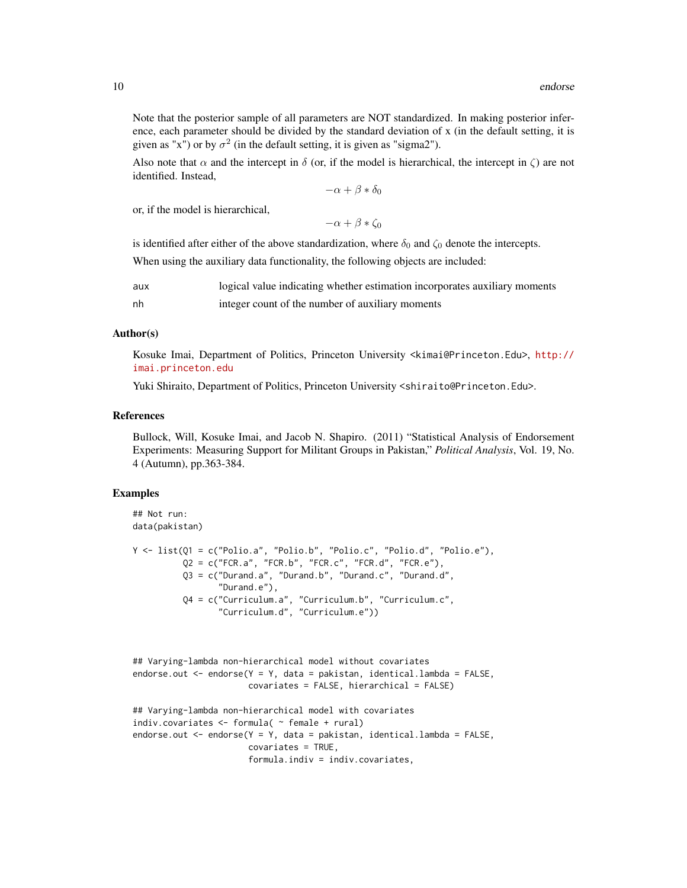Note that the posterior sample of all parameters are NOT standardized. In making posterior inference, each parameter should be divided by the standard deviation of x (in the default setting, it is given as "x") or by  $\sigma^2$  (in the default setting, it is given as "sigma2").

Also note that  $\alpha$  and the intercept in  $\delta$  (or, if the model is hierarchical, the intercept in  $\zeta$ ) are not identified. Instead,

 $-\alpha + \beta * \delta_0$ 

or, if the model is hierarchical,

 $-\alpha + \beta * \zeta_0$ 

is identified after either of the above standardization, where  $\delta_0$  and  $\zeta_0$  denote the intercepts.

When using the auxiliary data functionality, the following objects are included:

| aux | logical value indicating whether estimation incorporates auxiliary moments |
|-----|----------------------------------------------------------------------------|
| nh  | integer count of the number of auxiliary moments                           |

#### Author(s)

Kosuke Imai, Department of Politics, Princeton University <kimai@Princeton.Edu>, [http://](http://imai.princeton.edu) [imai.princeton.edu](http://imai.princeton.edu)

Yuki Shiraito, Department of Politics, Princeton University <shiraito@Princeton.Edu>.

# References

Bullock, Will, Kosuke Imai, and Jacob N. Shapiro. (2011) "Statistical Analysis of Endorsement Experiments: Measuring Support for Militant Groups in Pakistan," *Political Analysis*, Vol. 19, No. 4 (Autumn), pp.363-384.

# Examples

```
## Not run:
data(pakistan)
Y <- list(Q1 = c("Polio.a", "Polio.b", "Polio.c", "Polio.d", "Polio.e"),
          Q2 = c("FCR.a", "FCR.b", "FCR.c", "FCR.d", "FCR.e"),Q3 = c("Durand.a", "Durand.b", "Durand.c", "Durand.d",
                 "Durand.e"),
          Q4 = c("Curriculum.a", "Curriculum.b", "Curriculum.c",
                 "Curriculum.d", "Curriculum.e"))
## Varying-lambda non-hierarchical model without covariates
endorse.out <- endorse(Y = Y, data = pakistan, identical.lambda = FALSE,
                       covariates = FALSE, hierarchical = FALSE)
## Varying-lambda non-hierarchical model with covariates
indiv.covariates <- formula( ~ female + rural)
endorse.out <- endorse(Y = Y, data = pakistan, identical.lambda = FALSE,
                       covariates = TRUE,
                       formula.indiv = indiv.covariates,
```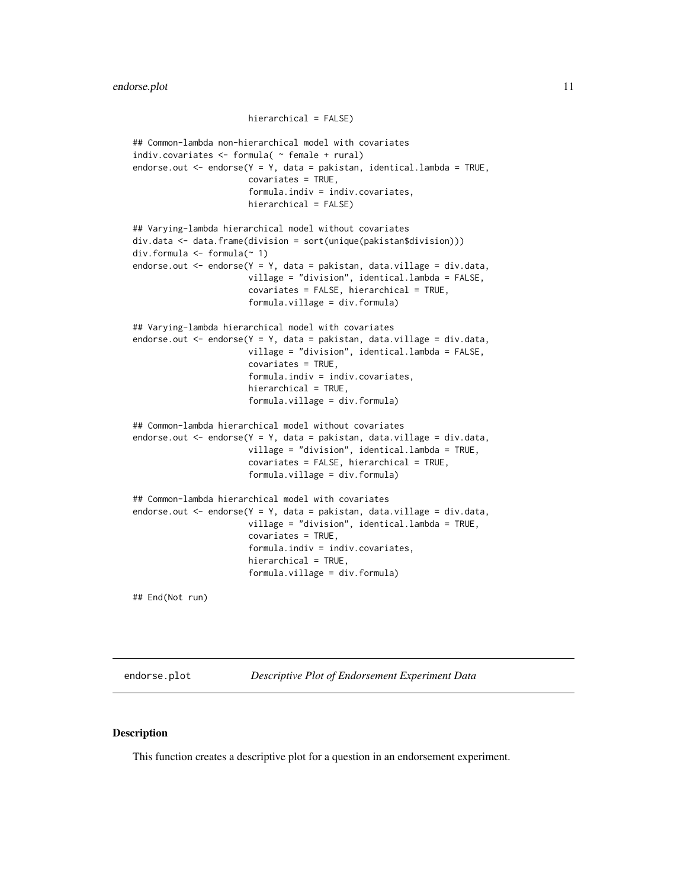```
hierarchical = FALSE)
## Common-lambda non-hierarchical model with covariates
indiv.covariates <- formula( ~ female + rural)
endorse.out \leq endorse(Y = Y, data = pakistan, identical.lambda = TRUE,
                       covariates = TRUE,
                       formula.indiv = indiv.covariates,
                       hierarchical = FALSE)
## Varying-lambda hierarchical model without covariates
div.data <- data.frame(division = sort(unique(pakistan$division)))
div.formula <- formula(~ 1)
endorse.out <- endorse(Y = Y, data = pakistan, data.village = div.data,
                       village = "division", identical.lambda = FALSE,
                       covariates = FALSE, hierarchical = TRUE,
                       formula.village = div.formula)
## Varying-lambda hierarchical model with covariates
endorse.out <- endorse(Y = Y, data = pakistan, data.village = div.data,
                       village = "division", identical.lambda = FALSE,
                       covariates = TRUE,
                       formula.indiv = indiv.covariates,
                       hierarchical = TRUE,
                       formula.village = div.formula)
## Common-lambda hierarchical model without covariates
endorse.out <- endorse(Y = Y, data = pakistan, data.village = div.data,
                       village = "division", identical.lambda = TRUE,
                       covariates = FALSE, hierarchical = TRUE,
                       formula.village = div.formula)
## Common-lambda hierarchical model with covariates
endorse.out <- endorse(Y = Y, data = pakistan, data.village = div.data,
                       village = "division", identical.lambda = TRUE,
                       covariates = TRUE,
                       formula.indiv = indiv.covariates,
                       hierarchical = TRUE,
                       formula.village = div.formula)
```
## End(Not run)

endorse.plot *Descriptive Plot of Endorsement Experiment Data*

#### **Description**

This function creates a descriptive plot for a question in an endorsement experiment.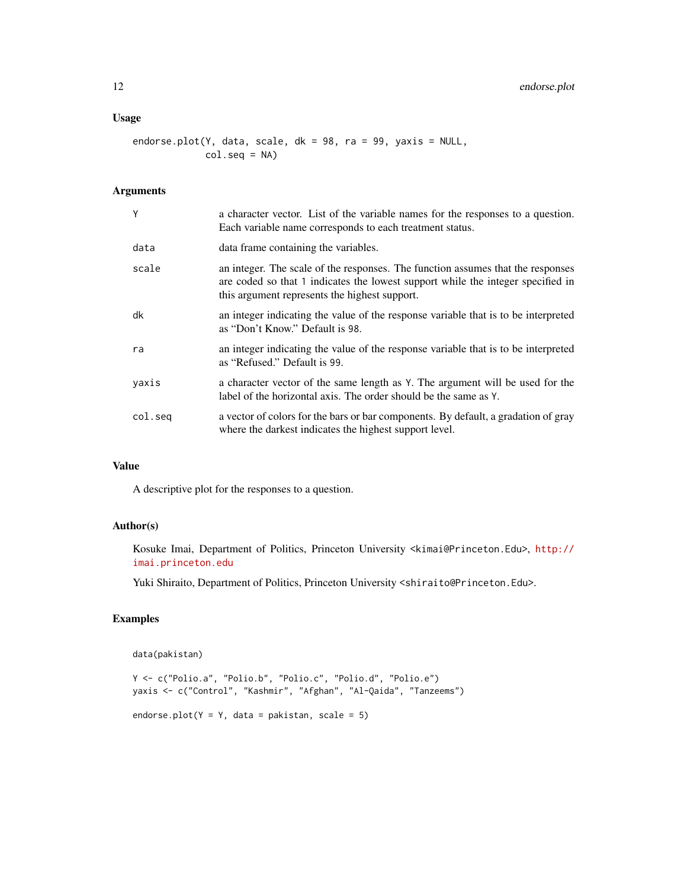# Usage

endorse.plot(Y, data, scale, dk = 98, ra = 99, yaxis = NULL, col.seq = NA)

# Arguments

| Y       | a character vector. List of the variable names for the responses to a question.<br>Each variable name corresponds to each treatment status.                                                                         |
|---------|---------------------------------------------------------------------------------------------------------------------------------------------------------------------------------------------------------------------|
| data    | data frame containing the variables.                                                                                                                                                                                |
| scale   | an integer. The scale of the responses. The function assumes that the responses<br>are coded so that 1 indicates the lowest support while the integer specified in<br>this argument represents the highest support. |
| dk      | an integer indicating the value of the response variable that is to be interpreted<br>as "Don't Know." Default is 98.                                                                                               |
| ra      | an integer indicating the value of the response variable that is to be interpreted<br>as "Refused." Default is 99.                                                                                                  |
| yaxis   | a character vector of the same length as Y. The argument will be used for the<br>label of the horizontal axis. The order should be the same as Y.                                                                   |
| col.seg | a vector of colors for the bars or bar components. By default, a gradation of gray<br>where the darkest indicates the highest support level.                                                                        |

# Value

A descriptive plot for the responses to a question.

# Author(s)

Kosuke Imai, Department of Politics, Princeton University <kimai@Princeton.Edu>, [http://](http://imai.princeton.edu) [imai.princeton.edu](http://imai.princeton.edu)

Yuki Shiraito, Department of Politics, Princeton University <shiraito@Princeton.Edu>.

# Examples

```
data(pakistan)
```

```
Y <- c("Polio.a", "Polio.b", "Polio.c", "Polio.d", "Polio.e")
yaxis <- c("Control", "Kashmir", "Afghan", "Al-Qaida", "Tanzeems")
endorse.plot(Y = Y, data = pakistan, scale = 5)
```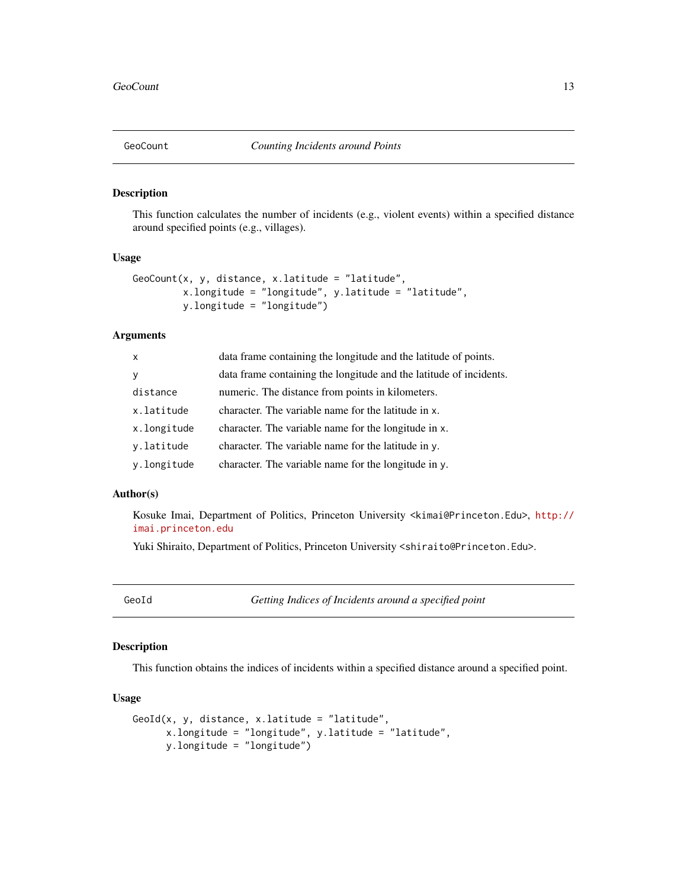<span id="page-12-0"></span>

# Description

This function calculates the number of incidents (e.g., violent events) within a specified distance around specified points (e.g., villages).

# Usage

```
GeoCount(x, y, distance, x.latitude = "latitude",
         x.longitude = "longitude", y.latitude = "latitude",
         y.longitude = "longitude")
```
# Arguments

| $\mathsf{x}$ | data frame containing the longitude and the latitude of points.    |
|--------------|--------------------------------------------------------------------|
| $\mathbf{y}$ | data frame containing the longitude and the latitude of incidents. |
| distance     | numeric. The distance from points in kilometers.                   |
| x.latitude   | character. The variable name for the latitude in x.                |
| x.longitude  | character. The variable name for the longitude in x.               |
| y.latitude   | character. The variable name for the latitude in y.                |
| y.longitude  | character. The variable name for the longitude in y.               |

# Author(s)

Kosuke Imai, Department of Politics, Princeton University <kimai@Princeton.Edu>, [http://](http://imai.princeton.edu) [imai.princeton.edu](http://imai.princeton.edu)

Yuki Shiraito, Department of Politics, Princeton University <shiraito@Princeton.Edu>.

GeoId *Getting Indices of Incidents around a specified point*

# Description

This function obtains the indices of incidents within a specified distance around a specified point.

### Usage

```
GeoId(x, y, distance, x.latitude = "latitude",
     x.longitude = "longitude", y.latitude = "latitude",
     y.longitude = "longitude")
```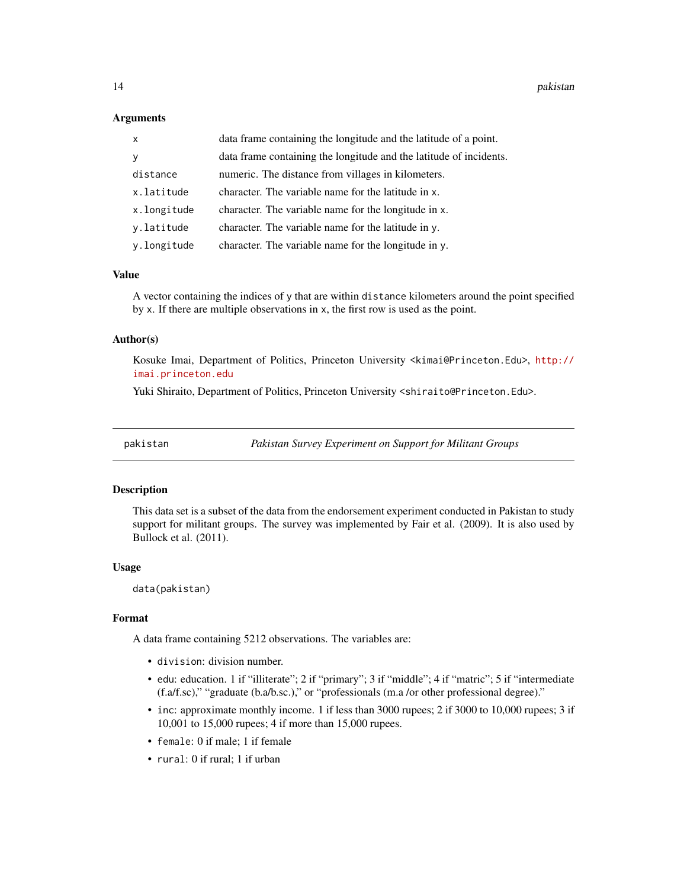# <span id="page-13-0"></span>**Arguments**

| $\mathsf{x}$ | data frame containing the longitude and the latitude of a point.   |
|--------------|--------------------------------------------------------------------|
| <sub>y</sub> | data frame containing the longitude and the latitude of incidents. |
| distance     | numeric. The distance from villages in kilometers.                 |
| x.latitude   | character. The variable name for the latitude in x.                |
| x.longitude  | character. The variable name for the longitude in x.               |
| y.latitude   | character. The variable name for the latitude in y.                |
| y.longitude  | character. The variable name for the longitude in y.               |

#### Value

A vector containing the indices of y that are within distance kilometers around the point specified by x. If there are multiple observations in x, the first row is used as the point.

# Author(s)

Kosuke Imai, Department of Politics, Princeton University <kimai@Princeton.Edu>, [http://](http://imai.princeton.edu) [imai.princeton.edu](http://imai.princeton.edu)

Yuki Shiraito, Department of Politics, Princeton University <shiraito@Princeton.Edu>.

pakistan *Pakistan Survey Experiment on Support for Militant Groups*

#### Description

This data set is a subset of the data from the endorsement experiment conducted in Pakistan to study support for militant groups. The survey was implemented by Fair et al. (2009). It is also used by Bullock et al. (2011).

#### Usage

data(pakistan)

# Format

A data frame containing 5212 observations. The variables are:

- division: division number.
- edu: education. 1 if "illiterate"; 2 if "primary"; 3 if "middle"; 4 if "matric"; 5 if "intermediate (f.a/f.sc)," "graduate (b.a/b.sc.)," or "professionals (m.a /or other professional degree)."
- inc: approximate monthly income. 1 if less than 3000 rupees; 2 if 3000 to 10,000 rupees; 3 if 10,001 to 15,000 rupees; 4 if more than 15,000 rupees.
- female: 0 if male; 1 if female
- rural: 0 if rural; 1 if urban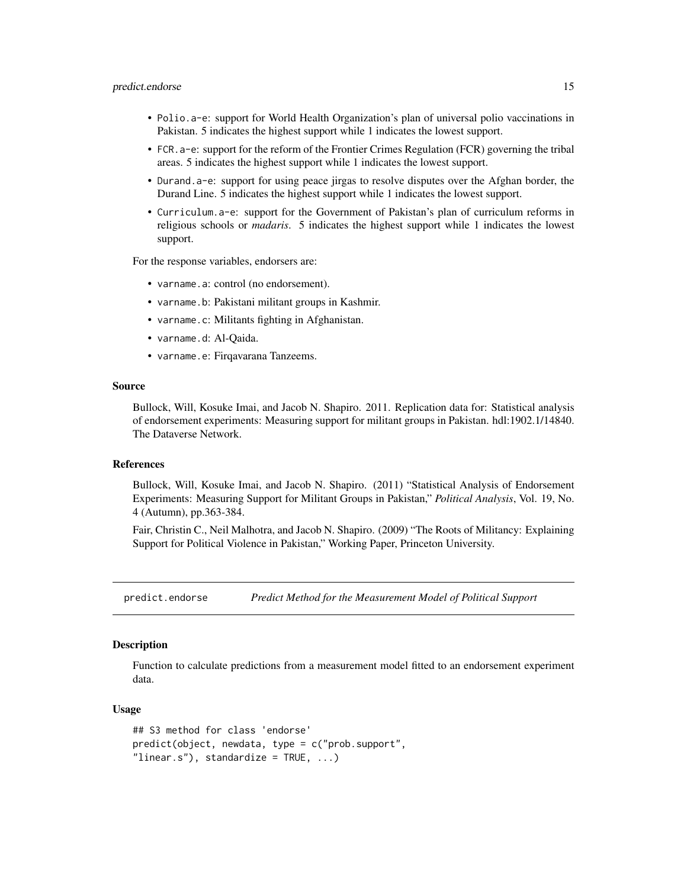#### <span id="page-14-0"></span>predict.endorse 15

- Polio.a-e: support for World Health Organization's plan of universal polio vaccinations in Pakistan. 5 indicates the highest support while 1 indicates the lowest support.
- FCR.a-e: support for the reform of the Frontier Crimes Regulation (FCR) governing the tribal areas. 5 indicates the highest support while 1 indicates the lowest support.
- Durand.a-e: support for using peace jirgas to resolve disputes over the Afghan border, the Durand Line. 5 indicates the highest support while 1 indicates the lowest support.
- Curriculum.a-e: support for the Government of Pakistan's plan of curriculum reforms in religious schools or *madaris*. 5 indicates the highest support while 1 indicates the lowest support.

For the response variables, endorsers are:

- varname.a: control (no endorsement).
- varname.b: Pakistani militant groups in Kashmir.
- varname.c: Militants fighting in Afghanistan.
- varname.d: Al-Qaida.
- varname.e: Firqavarana Tanzeems.

## Source

Bullock, Will, Kosuke Imai, and Jacob N. Shapiro. 2011. Replication data for: Statistical analysis of endorsement experiments: Measuring support for militant groups in Pakistan. hdl:1902.1/14840. The Dataverse Network.

# References

Bullock, Will, Kosuke Imai, and Jacob N. Shapiro. (2011) "Statistical Analysis of Endorsement Experiments: Measuring Support for Militant Groups in Pakistan," *Political Analysis*, Vol. 19, No. 4 (Autumn), pp.363-384.

Fair, Christin C., Neil Malhotra, and Jacob N. Shapiro. (2009) "The Roots of Militancy: Explaining Support for Political Violence in Pakistan," Working Paper, Princeton University.

predict.endorse *Predict Method for the Measurement Model of Political Support*

# **Description**

Function to calculate predictions from a measurement model fitted to an endorsement experiment data.

# Usage

```
## S3 method for class 'endorse'
predict(object, newdata, type = c("prob.support",
"linear.s"), standardize = TRUE, ...)
```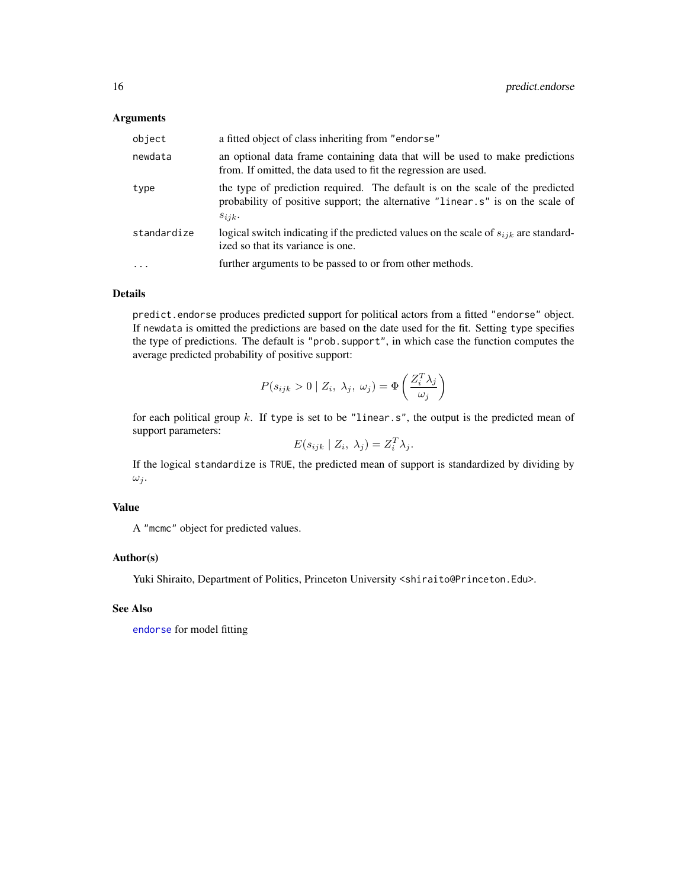# <span id="page-15-0"></span>Arguments

| object      | a fitted object of class inheriting from "endorse"                                                                                                                             |
|-------------|--------------------------------------------------------------------------------------------------------------------------------------------------------------------------------|
| newdata     | an optional data frame containing data that will be used to make predictions<br>from. If omitted, the data used to fit the regression are used.                                |
| type        | the type of prediction required. The default is on the scale of the predicted<br>probability of positive support; the alternative "linear.s" is on the scale of<br>$s_{ijk}$ . |
| standardize | logical switch indicating if the predicted values on the scale of $s_{ijk}$ are standard-<br>ized so that its variance is one.                                                 |
| $\cdot$     | further arguments to be passed to or from other methods.                                                                                                                       |

# Details

predict.endorse produces predicted support for political actors from a fitted "endorse" object. If newdata is omitted the predictions are based on the date used for the fit. Setting type specifies the type of predictions. The default is "prob.support", in which case the function computes the average predicted probability of positive support:

$$
P(s_{ijk} > 0 \mid Z_i, \lambda_j, \omega_j) = \Phi\left(\frac{Z_i^T \lambda_j}{\omega_j}\right)
$$

for each political group  $k$ . If type is set to be "linear.s", the output is the predicted mean of support parameters:

$$
E(s_{ijk} \mid Z_i, \lambda_j) = Z_i^T \lambda_j.
$$

If the logical standardize is TRUE, the predicted mean of support is standardized by dividing by  $\omega_i$ .

# Value

A "mcmc" object for predicted values.

# Author(s)

Yuki Shiraito, Department of Politics, Princeton University <shiraito@Princeton.Edu>.

# See Also

[endorse](#page-1-1) for model fitting